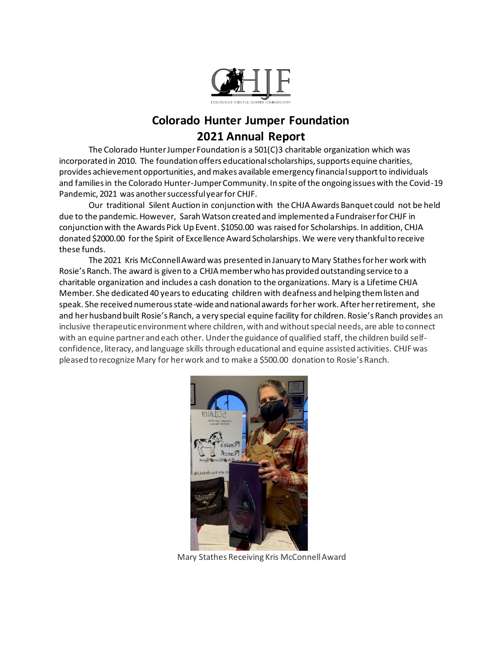

## **Colorado Hunter Jumper Foundation 2021 Annual Report**

The Colorado Hunter Jumper Foundation is a 501(C)3 charitable organization which was incorporated in 2010. The foundation offers educational scholarships, supports equine charities, provides achievement opportunities, and makes available emergency financial support to individuals and families in the Colorado Hunter-Jumper Community. In spite of the ongoing issues with the Covid-19 Pandemic, 2021 was another successful year for CHJF.

Our traditional Silent Auction in conjunction with the CHJA Awards Banquet could not be held due to the pandemic. However, Sarah Watson created and implemented a Fundraiser for CHJF in conjunction with the Awards Pick Up Event. \$1050.00 was raised for Scholarships. In addition, CHJA donated \$2000.00 for the Spirit of Excellence Award Scholarships.We were very thankful to receive these funds.

The 2021 Kris McConnell Award was presented in January to Mary Stathes for her work with Rosie's Ranch. The award is given to a CHJA member who has provided outstanding service to a charitable organization and includes a cash donation to the organizations. Mary is a Lifetime CHJA Member. She dedicated 40 years to educating children with deafness and helping them listen and speak. She received numerous state-wide and national awards for her work. Afterher retirement, she and her husband built Rosie's Ranch, a very special equine facility for children. Rosie's Ranch provides an inclusive therapeutic environment where children, with and without special needs, are able to connect with an equine partner and each other. Under the guidance of qualified staff, the children build selfconfidence, literacy, and language skills through educational and equine assisted activities. CHJF was pleased to recognize Mary for her work and to make a \$500.00 donation to Rosie's Ranch.



Mary Stathes Receiving Kris McConnell Award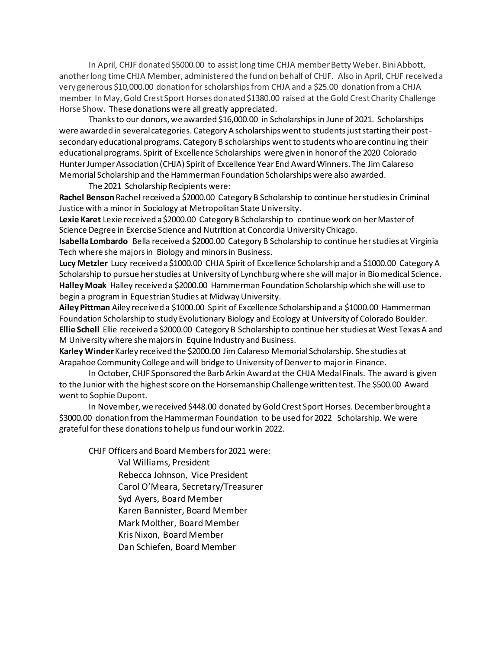In April, CHJF donated \$5000.00 to assist long time CHJA member Betty Weber. Bini Abbott, another long time CHJA Member, administered the fund on behalf of CHJF. Also in April, CHJF received a very generous \$10,000.00 donation for scholarships from CHJA and a \$25.00 donation from a CHJA member In May, Gold Crest Sport Horses donated \$1380.00 raised at the Gold Crest Charity Challenge Horse Show. These donations were all greatly appreciated.

Thanks to our donors, we awarded \$16,000.00 in Scholarships in June of 2021. Scholarships were awarded in several categories. Category A scholarships went to students just starting their postsecondary educational programs. Category B scholarships went to students who are continuing their educational programs. Spirit of Excellence Scholarships were given in honor of the 2020 Colorado Hunter Jumper Association (CHJA) Spirit of Excellence Year End Award Winners. The Jim Calareso Memorial Scholarship and the Hammerman Foundation Scholarships were also awarded.

The 2021 Scholarship Recipients were:

**Rachel Benson** Rachel received a \$2000.00 Category B Scholarship to continue her studies in Criminal Justice with a minor in Sociology at Metropolitan State University.

**Lexie Karet** Lexie received a \$2000.00 Category B Scholarship to continue work on her Master of Science Degree in Exercise Science and Nutrition at Concordia University Chicago.

**Isabella Lombardo** Bella received a \$2000.00 Category B Scholarship to continue her studies at Virginia Tech where she majors in Biology and minors in Business.

**Lucy Metzler** Lucy received a \$1000.00 CHJA Spirit of Excellence Scholarship and a \$1000.00 Category A Scholarship to pursue her studies at University of Lynchburg where she will major in Biomedical Science. **Halley Moak** Halley received a \$2000.00 Hammerman Foundation Scholarship which she will use to begin a program in Equestrian Studies at Midway University.

**Ailey Pittman** Ailey received a \$1000.00 Spirit of Excellence Scholarship and a \$1000.00 Hammerman Foundation Scholarship to study Evolutionary Biology and Ecology at University of Colorado Boulder. **Ellie Schell** Ellie received a \$2000.00 Category B Scholarship to continue her studies at West Texas A and M University where she majors in Equine Industry and Business.

**Karley Winder**Karley received the \$2000.00 Jim Calareso Memorial Scholarship. She studies at Arapahoe Community College and will bridge to University of Denver to major in Finance.

In October, CHJF Sponsored the Barb Arkin Award at the CHJA Medal Finals. The award is given to the Junior with the highest score on the Horsemanship Challenge written test. The \$500.00 Award went to Sophie Dupont.

In November, we received \$448.00 donated by Gold Crest Sport Horses. December brought a \$3000.00 donation from the Hammerman Foundation to be used for 2022 Scholarship. We were grateful for these donationsto help us fund our work in 2022.

CHJF Officers and Board Members for 2021 were:

Val Williams, President Rebecca Johnson, Vice President Carol O'Meara, Secretary/Treasurer Syd Ayers, Board Member Karen Bannister, Board Member Mark Molther, Board Member Kris Nixon, Board Member Dan Schiefen, Board Member